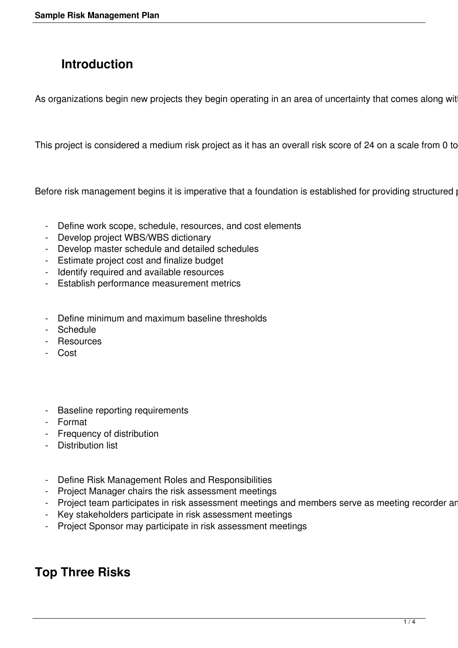# **Introduction**

As organizations begin new projects they begin operating in an area of uncertainty that comes along wit

This project is considered a medium risk project as it has an overall risk score of 24 on a scale from 0 to

Before risk management begins it is imperative that a foundation is established for providing structured

- Define work scope, schedule, resources, and cost elements
- Develop project WBS/WBS dictionary
- Develop master schedule and detailed schedules
- Estimate project cost and finalize budget
- Identify required and available resources
- Establish performance measurement metrics
- Define minimum and maximum baseline thresholds
- Schedule
- Resources
- Cost
- Baseline reporting requirements
- Format
- Frequency of distribution
- Distribution list
- Define Risk Management Roles and Responsibilities
- Project Manager chairs the risk assessment meetings
- Project team participates in risk assessment meetings and members serve as meeting recorder ar
- Key stakeholders participate in risk assessment meetings
- Project Sponsor may participate in risk assessment meetings

# **Top Three Risks**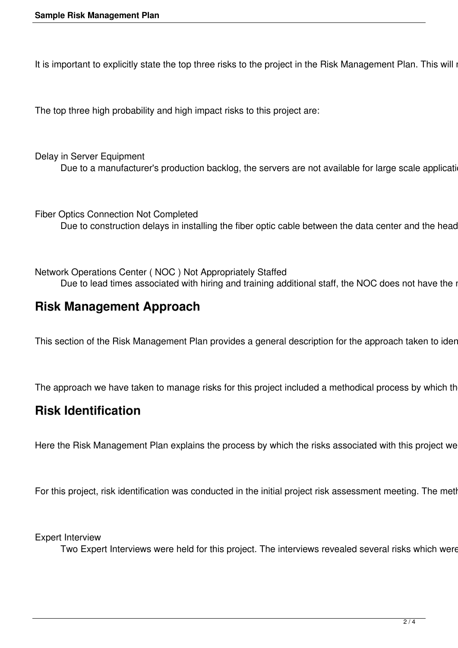It is important to explicitly state the top three risks to the project in the Risk Management Plan. This will i

The top three high probability and high impact risks to this project are:

Delay in Server Equipment Due to a manufacturer's production backlog, the servers are not available for large scale applicati

Fiber Optics Connection Not Completed Due to construction delays in installing the fiber optic cable between the data center and the head

Network Operations Center ( NOC ) Not Appropriately Staffed Due to lead times associated with hiring and training additional staff, the NOC does not have the i

## **Risk Management Approach**

This section of the Risk Management Plan provides a general description for the approach taken to ider

The approach we have taken to manage risks for this project included a methodical process by which th

#### **Risk Identification**

Here the Risk Management Plan explains the process by which the risks associated with this project we

For this project, risk identification was conducted in the initial project risk assessment meeting. The metl

Expert Interview

Two Expert Interviews were held for this project. The interviews revealed several risks which were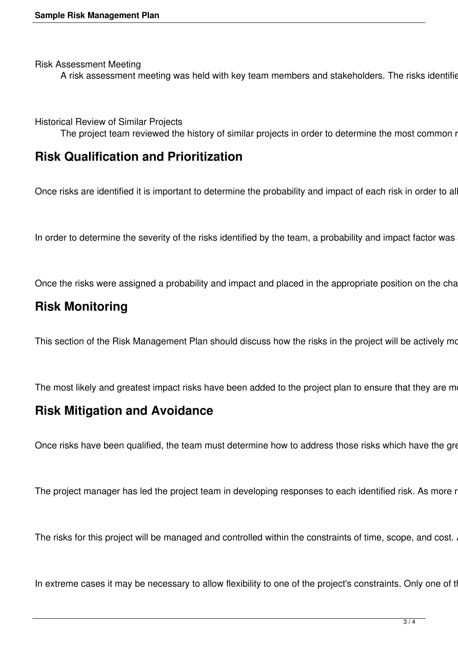Risk Assessment Meeting

A risk assessment meeting was held with key team members and stakeholders. The risks identified and Risk Register.

Historical Review of Similar Projects

The project team reviewed the history of similar projects in order to determine the most common r

#### **Risk Qualification and Prioritization**

Once risks are identified it is important to determine the probability and impact of each risk in order to al

In order to determine the severity of the risks identified by the team, a probability and impact factor was

Once the risks were assigned a probability and impact and placed in the appropriate position on the cha

## **Risk Monitoring**

This section of the Risk Management Plan should discuss how the risks in the project will be actively mo

The most likely and greatest impact risks have been added to the project plan to ensure that they are m

#### **Risk Mitigation and Avoidance**

Once risks have been qualified, the team must determine how to address those risks which have the gre

The project manager has led the project team in developing responses to each identified risk. As more r

The risks for this project will be managed and controlled within the constraints of time, scope, and cost.

In extreme cases it may be necessary to allow flexibility to one of the project's constraints. Only one of t